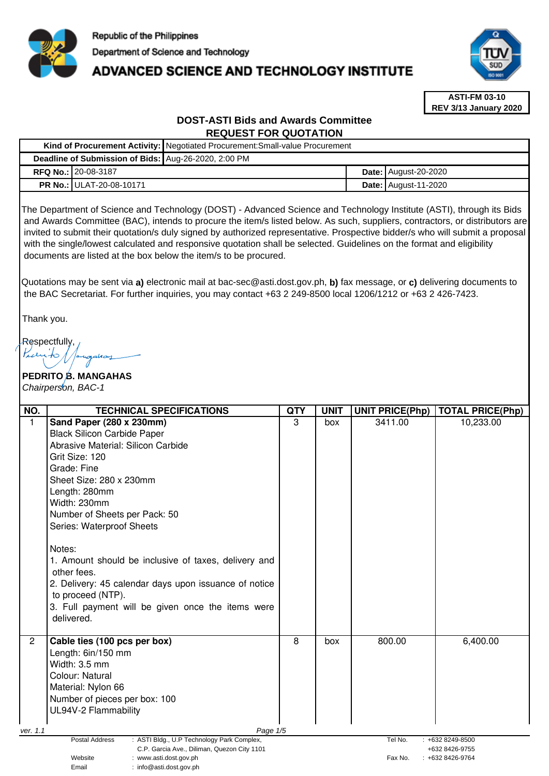

# **ADVANCED SCIENCE AND TECHNOLOGY INSTITUTE**



**ASTI-FM 03-10 REV 3/13 January 2020**

# **DOST-ASTI Bids and Awards Committee REQUEST FOR QUOTATION**

|  |                                                      | Kind of Procurement Activity: Negotiated Procurement: Small-value Procurement |  |                             |  |
|--|------------------------------------------------------|-------------------------------------------------------------------------------|--|-----------------------------|--|
|  | Deadline of Submission of Bids: Aug-26-2020, 2:00 PM |                                                                               |  |                             |  |
|  | <b>RFQ No.: 20-08-3187</b>                           |                                                                               |  | <b>Date: August-20-2020</b> |  |
|  | <b>PR No.: ULAT-20-08-10171</b>                      |                                                                               |  | <b>Date: August-11-2020</b> |  |

The Department of Science and Technology (DOST) - Advanced Science and Technology Institute (ASTI), through its Bids and Awards Committee (BAC), intends to procure the item/s listed below. As such, suppliers, contractors, or distributors are invited to submit their quotation/s duly signed by authorized representative. Prospective bidder/s who will submit a proposal with the single/lowest calculated and responsive quotation shall be selected. Guidelines on the format and eligibility documents are listed at the box below the item/s to be procured.

Quotations may be sent via **a)** electronic mail at bac-sec@asti.dost.gov.ph, **b)** fax message, or **c)** delivering documents to the BAC Secretariat. For further inquiries, you may contact +63 2 249-8500 local 1206/1212 or +63 2 426-7423.

Thank you.

**Respectfully** 

**PEDRITO <b>B.** MANGAHAS Chairperson, BAC-1

| NO.                               | <b>TECHNICAL SPECIFICATIONS</b>                                                                             | <b>QTY</b> | <b>UNIT</b> | <b>UNIT PRICE(Php)</b> | <b>TOTAL PRICE(Php)</b>               |
|-----------------------------------|-------------------------------------------------------------------------------------------------------------|------------|-------------|------------------------|---------------------------------------|
| $\mathbf{1}$                      | Sand Paper (280 x 230mm)                                                                                    | 3          | box         | 3411.00                | 10,233.00                             |
|                                   | <b>Black Silicon Carbide Paper</b>                                                                          |            |             |                        |                                       |
|                                   | Abrasive Material: Silicon Carbide                                                                          |            |             |                        |                                       |
|                                   | Grit Size: 120                                                                                              |            |             |                        |                                       |
|                                   | Grade: Fine                                                                                                 |            |             |                        |                                       |
|                                   | Sheet Size: 280 x 230mm                                                                                     |            |             |                        |                                       |
|                                   | Length: 280mm                                                                                               |            |             |                        |                                       |
|                                   | Width: 230mm                                                                                                |            |             |                        |                                       |
|                                   | Number of Sheets per Pack: 50                                                                               |            |             |                        |                                       |
|                                   | Series: Waterproof Sheets                                                                                   |            |             |                        |                                       |
|                                   |                                                                                                             |            |             |                        |                                       |
|                                   | Notes:                                                                                                      |            |             |                        |                                       |
|                                   | 1. Amount should be inclusive of taxes, delivery and                                                        |            |             |                        |                                       |
|                                   | other fees.                                                                                                 |            |             |                        |                                       |
|                                   | 2. Delivery: 45 calendar days upon issuance of notice                                                       |            |             |                        |                                       |
|                                   | to proceed (NTP).                                                                                           |            |             |                        |                                       |
|                                   | 3. Full payment will be given once the items were                                                           |            |             |                        |                                       |
|                                   | delivered.                                                                                                  |            |             |                        |                                       |
|                                   |                                                                                                             |            |             |                        |                                       |
| $\overline{2}$                    | Cable ties (100 pcs per box)                                                                                | 8          | box         | 800.00                 | 6,400.00                              |
|                                   | Length: 6in/150 mm                                                                                          |            |             |                        |                                       |
|                                   | Width: 3.5 mm                                                                                               |            |             |                        |                                       |
|                                   | Colour: Natural                                                                                             |            |             |                        |                                       |
|                                   | Material: Nylon 66                                                                                          |            |             |                        |                                       |
|                                   | Number of pieces per box: 100                                                                               |            |             |                        |                                       |
|                                   | UL94V-2 Flammability                                                                                        |            |             |                        |                                       |
|                                   |                                                                                                             |            |             |                        |                                       |
| ver. 1.1                          | Page 1/5                                                                                                    |            |             |                        |                                       |
|                                   | Postal Address<br>: ASTI Bldg., U.P Technology Park Complex,<br>C.P. Garcia Ave., Diliman, Quezon City 1101 |            |             | Tel No.                | $: +6328249 - 8500$<br>+632 8426-9755 |
| : www.asti.dost.gov.ph<br>Website |                                                                                                             |            |             | Fax No.                | $: +6328426-9764$                     |
|                                   | Email<br>: info@asti.dost.gov.ph                                                                            |            |             |                        |                                       |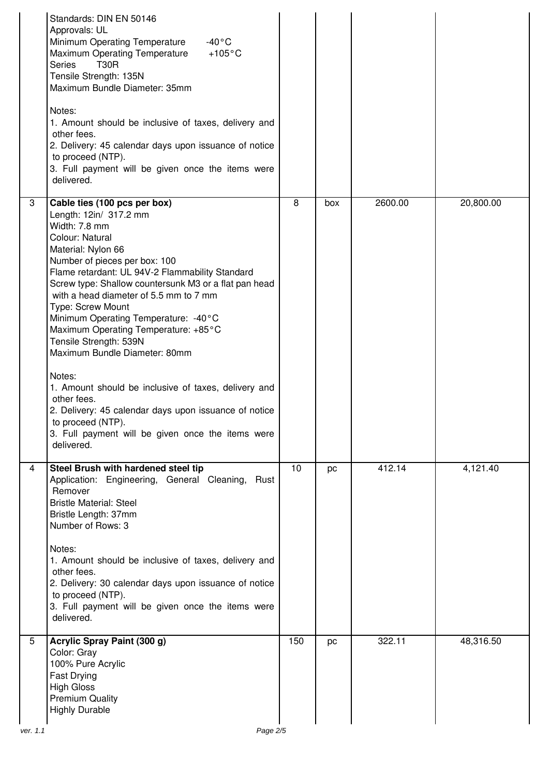|               | Standards: DIN EN 50146<br>Approvals: UL<br>Minimum Operating Temperature<br>$-40\degree$ C<br>$+105^{\circ}$ C<br>Maximum Operating Temperature<br><b>Series</b><br><b>T30R</b><br>Tensile Strength: 135N<br>Maximum Bundle Diameter: 35mm<br>Notes:<br>1. Amount should be inclusive of taxes, delivery and<br>other fees.<br>2. Delivery: 45 calendar days upon issuance of notice<br>to proceed (NTP).<br>3. Full payment will be given once the items were<br>delivered.                                                                                                                                                                                                                             |                |     |         |           |
|---------------|-----------------------------------------------------------------------------------------------------------------------------------------------------------------------------------------------------------------------------------------------------------------------------------------------------------------------------------------------------------------------------------------------------------------------------------------------------------------------------------------------------------------------------------------------------------------------------------------------------------------------------------------------------------------------------------------------------------|----------------|-----|---------|-----------|
| 3             | Cable ties (100 pcs per box)<br>Length: 12in/ 317.2 mm<br>Width: 7.8 mm<br>Colour: Natural<br>Material: Nylon 66<br>Number of pieces per box: 100<br>Flame retardant: UL 94V-2 Flammability Standard<br>Screw type: Shallow countersunk M3 or a flat pan head<br>with a head diameter of 5.5 mm to 7 mm<br>Type: Screw Mount<br>Minimum Operating Temperature: -40°C<br>Maximum Operating Temperature: +85°C<br>Tensile Strength: 539N<br>Maximum Bundle Diameter: 80mm<br>Notes:<br>1. Amount should be inclusive of taxes, delivery and<br>other fees.<br>2. Delivery: 45 calendar days upon issuance of notice<br>to proceed (NTP).<br>3. Full payment will be given once the items were<br>delivered. | $\overline{8}$ | box | 2600.00 | 20,800.00 |
| 4             | Steel Brush with hardened steel tip<br>Application: Engineering, General Cleaning,<br>Rust<br>Remover<br><b>Bristle Material: Steel</b><br>Bristle Length: 37mm<br>Number of Rows: 3<br>Notes:<br>1. Amount should be inclusive of taxes, delivery and<br>other fees.<br>2. Delivery: 30 calendar days upon issuance of notice<br>to proceed (NTP).<br>3. Full payment will be given once the items were<br>delivered.                                                                                                                                                                                                                                                                                    | 10             | pc  | 412.14  | 4,121.40  |
| 5<br>ver. 1.1 | Acrylic Spray Paint (300 g)<br>Color: Gray<br>100% Pure Acrylic<br>Fast Drying<br><b>High Gloss</b><br><b>Premium Quality</b><br><b>Highly Durable</b><br>Page 2/5                                                                                                                                                                                                                                                                                                                                                                                                                                                                                                                                        | 150            | pc  | 322.11  | 48,316.50 |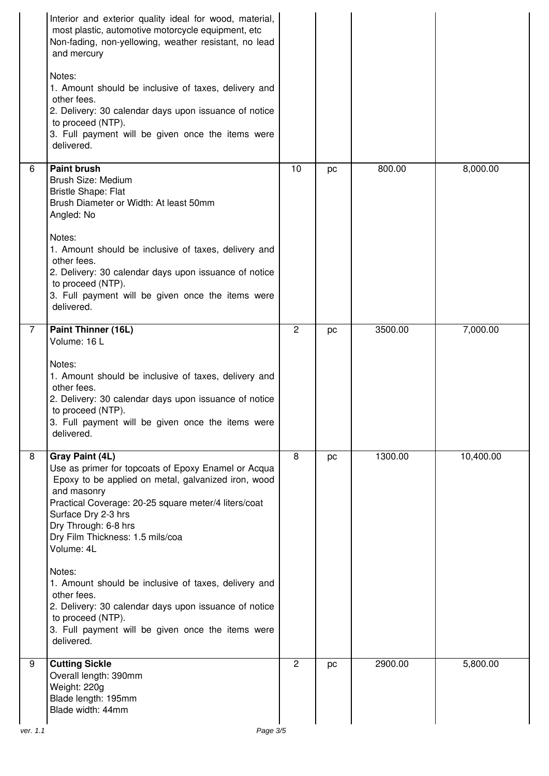|                | Interior and exterior quality ideal for wood, material,<br>most plastic, automotive motorcycle equipment, etc<br>Non-fading, non-yellowing, weather resistant, no lead<br>and mercury<br>Notes:<br>1. Amount should be inclusive of taxes, delivery and<br>other fees.<br>2. Delivery: 30 calendar days upon issuance of notice<br>to proceed (NTP).<br>3. Full payment will be given once the items were<br>delivered.                                                                                                                 |                |    |         |           |
|----------------|-----------------------------------------------------------------------------------------------------------------------------------------------------------------------------------------------------------------------------------------------------------------------------------------------------------------------------------------------------------------------------------------------------------------------------------------------------------------------------------------------------------------------------------------|----------------|----|---------|-----------|
| 6              | <b>Paint brush</b><br>Brush Size: Medium<br><b>Bristle Shape: Flat</b><br>Brush Diameter or Width: At least 50mm<br>Angled: No<br>Notes:<br>1. Amount should be inclusive of taxes, delivery and<br>other fees.<br>2. Delivery: 30 calendar days upon issuance of notice<br>to proceed (NTP).<br>3. Full payment will be given once the items were<br>delivered.                                                                                                                                                                        | 10             | pc | 800.00  | 8,000.00  |
| $\overline{7}$ | Paint Thinner (16L)<br>Volume: 16 L<br>Notes:<br>1. Amount should be inclusive of taxes, delivery and<br>other fees.<br>2. Delivery: 30 calendar days upon issuance of notice<br>to proceed (NTP).<br>3. Full payment will be given once the items were<br>delivered.                                                                                                                                                                                                                                                                   | 2              | pc | 3500.00 | 7,000.00  |
| 8              | Gray Paint (4L)<br>Use as primer for topcoats of Epoxy Enamel or Acqua<br>Epoxy to be applied on metal, galvanized iron, wood<br>and masonry<br>Practical Coverage: 20-25 square meter/4 liters/coat<br>Surface Dry 2-3 hrs<br>Dry Through: 6-8 hrs<br>Dry Film Thickness: 1.5 mils/coa<br>Volume: 4L<br>Notes:<br>1. Amount should be inclusive of taxes, delivery and<br>other fees.<br>2. Delivery: 30 calendar days upon issuance of notice<br>to proceed (NTP).<br>3. Full payment will be given once the items were<br>delivered. | 8              | pc | 1300.00 | 10,400.00 |
| 9              | <b>Cutting Sickle</b><br>Overall length: 390mm<br>Weight: 220g<br>Blade length: 195mm<br>Blade width: 44mm                                                                                                                                                                                                                                                                                                                                                                                                                              | $\overline{2}$ | pc | 2900.00 | 5,800.00  |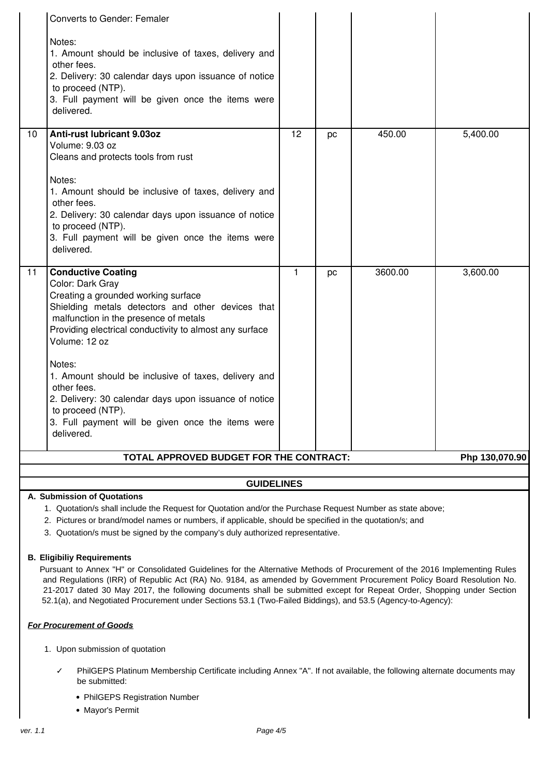|    | Converts to Gender: Femaler                                                                                                                                                                                                                                                                                                                                                                                                                                                                      |                 |           |         |                |  |
|----|--------------------------------------------------------------------------------------------------------------------------------------------------------------------------------------------------------------------------------------------------------------------------------------------------------------------------------------------------------------------------------------------------------------------------------------------------------------------------------------------------|-----------------|-----------|---------|----------------|--|
|    | Notes:<br>1. Amount should be inclusive of taxes, delivery and<br>other fees.<br>2. Delivery: 30 calendar days upon issuance of notice<br>to proceed (NTP).<br>3. Full payment will be given once the items were<br>delivered.                                                                                                                                                                                                                                                                   |                 |           |         |                |  |
| 10 | <b>Anti-rust lubricant 9.03oz</b><br>Volume: 9.03 oz<br>Cleans and protects tools from rust<br>Notes:<br>1. Amount should be inclusive of taxes, delivery and<br>other fees.<br>2. Delivery: 30 calendar days upon issuance of notice<br>to proceed (NTP).<br>3. Full payment will be given once the items were<br>delivered.                                                                                                                                                                    | $\overline{12}$ | <b>DC</b> | 450.00  | 5,400.00       |  |
| 11 | <b>Conductive Coating</b><br>Color: Dark Gray<br>Creating a grounded working surface<br>Shielding metals detectors and other devices that<br>malfunction in the presence of metals<br>Providing electrical conductivity to almost any surface<br>Volume: 12 oz<br>Notes:<br>1. Amount should be inclusive of taxes, delivery and<br>other fees.<br>2. Delivery: 30 calendar days upon issuance of notice<br>to proceed (NTP).<br>3. Full payment will be given once the items were<br>delivered. | $\mathbf{1}$    | pc        | 3600.00 | 3,600.00       |  |
|    | TOTAL APPROVED BUDGET FOR THE CONTRACT:                                                                                                                                                                                                                                                                                                                                                                                                                                                          |                 |           |         | Php 130,070.90 |  |
|    |                                                                                                                                                                                                                                                                                                                                                                                                                                                                                                  |                 |           |         |                |  |
|    | <b>GUIDELINES</b>                                                                                                                                                                                                                                                                                                                                                                                                                                                                                |                 |           |         |                |  |

#### **A. Submission of Quotations**

1. Quotation/s shall include the Request for Quotation and/or the Purchase Request Number as state above;

2. Pictures or brand/model names or numbers, if applicable, should be specified in the quotation/s; and

3. Quotation/s must be signed by the company's duly authorized representative.

#### **B. Eligibiliy Requirements**

Pursuant to Annex "H" or Consolidated Guidelines for the Alternative Methods of Procurement of the 2016 Implementing Rules and Regulations (IRR) of Republic Act (RA) No. 9184, as amended by Government Procurement Policy Board Resolution No. 21-2017 dated 30 May 2017, the following documents shall be submitted except for Repeat Order, Shopping under Section 52.1(a), and Negotiated Procurement under Sections 53.1 (Two-Failed Biddings), and 53.5 (Agency-to-Agency):

## **For Procurement of Goods**

- 1. Upon submission of quotation
	- PhilGEPS Platinum Membership Certificate including Annex "A". If not available, the following alternate documents may be submitted:
		- PhilGEPS Registration Number
		- Mayor's Permit